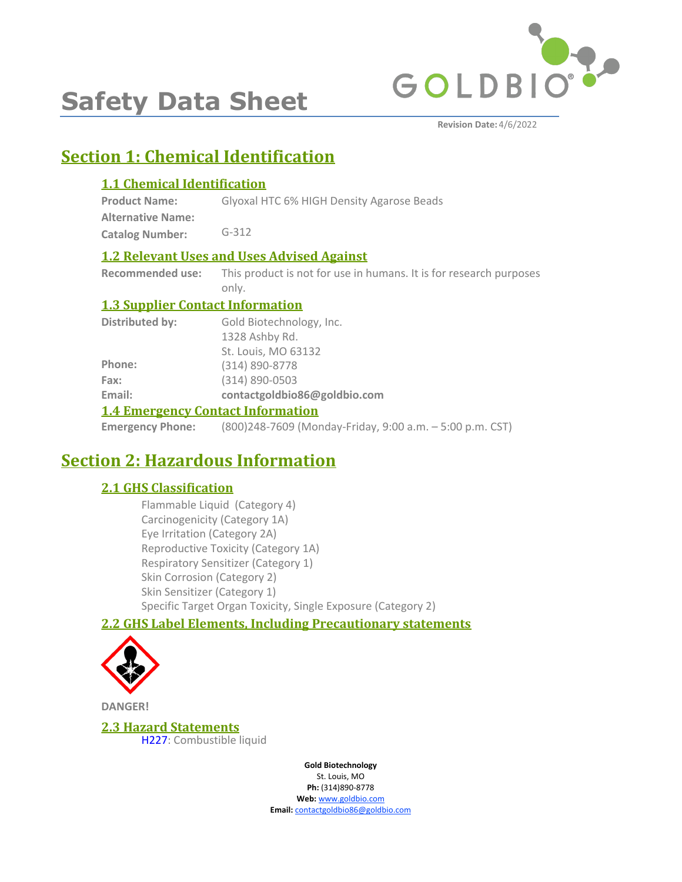

# **Safety Data Sheet**

# **Section 1: Chemical Identification**

### **1.1 Chemical Identification**

**Product Name: Alternative Name:** Glyoxal HTC 6% HIGH Density Agarose Beads

**Catalog Number:** G-312

### **1.2 Relevant Uses and Uses Advised Against**

**Recommended use:** This product is not for use in humans. It is for research purposes only.

### **1.3 Supplier Contact Information**

| 1.4 Emergency Contact Information |                              |  |
|-----------------------------------|------------------------------|--|
| Email:                            | contactgoldbio86@goldbio.com |  |
| Fax:                              | $(314) 890 - 0503$           |  |
| Phone:                            | $(314) 890 - 8778$           |  |
|                                   | St. Louis, MO 63132          |  |
|                                   | 1328 Ashby Rd.               |  |
| Distributed by:                   | Gold Biotechnology, Inc.     |  |

### **1.4 Emergency Contact Information**

**Emergency Phone:** (800)248-7609 (Monday-Friday, 9:00 a.m. – 5:00 p.m. CST)

# **Section 2: Hazardous Information**

### **2.1 GHS Classification**

Flammable Liquid (Category 4) Carcinogenicity (Category 1A) Eye Irritation (Category 2A) Reproductive Toxicity (Category 1A) Respiratory Sensitizer (Category 1) Skin Corrosion (Category 2) Skin Sensitizer (Category 1) Specific Target Organ Toxicity, Single Exposure (Category 2)

### **2.2 GHS Label Elements, Including Precautionary statements**



**DANGER!**

**2.3 Hazard Statements** H227: Combustible liquid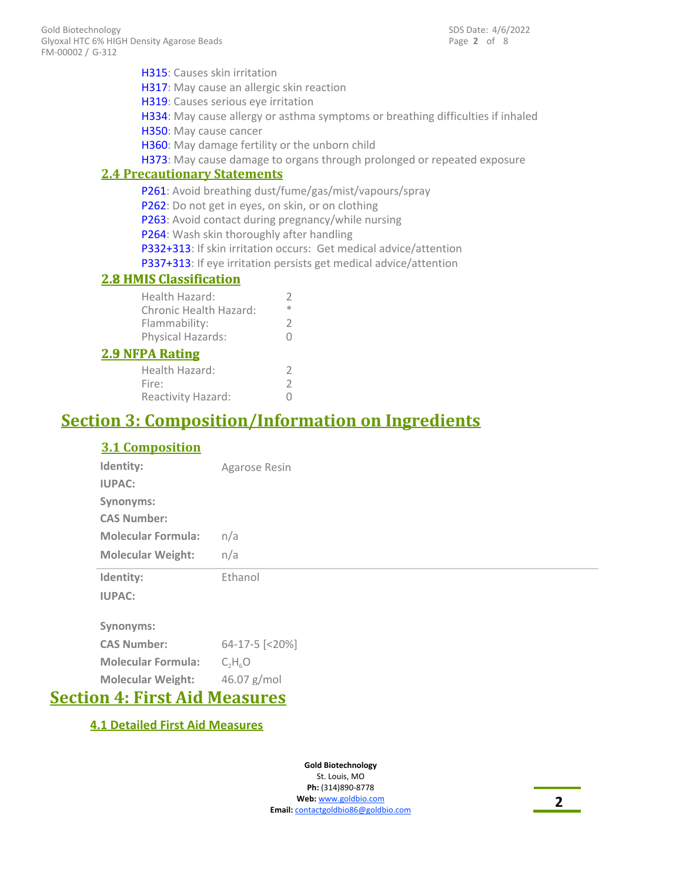| <b>H315</b> : Causes skin irritation               |                                                                                 |
|----------------------------------------------------|---------------------------------------------------------------------------------|
| H317: May cause an allergic skin reaction          |                                                                                 |
| H319: Causes serious eye irritation                |                                                                                 |
|                                                    | H334: May cause allergy or asthma symptoms or breathing difficulties if inhaled |
| H350: May cause cancer                             |                                                                                 |
| H360: May damage fertility or the unborn child     |                                                                                 |
|                                                    | H373: May cause damage to organs through prolonged or repeated exposure         |
| <b>2.4 Precautionary Statements</b>                |                                                                                 |
|                                                    | P261: Avoid breathing dust/fume/gas/mist/vapours/spray                          |
| P262: Do not get in eyes, on skin, or on clothing  |                                                                                 |
| P263: Avoid contact during pregnancy/while nursing |                                                                                 |
| P264: Wash skin thoroughly after handling          |                                                                                 |
|                                                    | P332+313: If skin irritation occurs: Get medical advice/attention               |
|                                                    | P337+313: If eye irritation persists get medical advice/attention               |
| <b>2.8 HMIS Classification</b>                     |                                                                                 |
| Health Hazard:                                     | 2                                                                               |
| Chronic Health Hazard:                             | $\frac{1}{2}$                                                                   |
| Flammability:                                      | 2                                                                               |
| Physical Hazards:                                  | O                                                                               |
| <b>2.9 NFPA Rating</b>                             |                                                                                 |
|                                                    |                                                                                 |

| <u>'PA Katıng</u>  |   |
|--------------------|---|
| Health Hazard:     | 7 |
| Fire:              | 2 |
| Reactivity Hazard: | 0 |

# **Section 3: Composition/Information on Ingredients**

### **3.1 Composition**

| Identity:                 | Agarose Resin  |
|---------------------------|----------------|
| <b>IUPAC:</b>             |                |
| Synonyms:                 |                |
| <b>CAS Number:</b>        |                |
| <b>Molecular Formula:</b> | n/a            |
| <b>Molecular Weight:</b>  | n/a            |
| Identity:                 | Ethanol        |
|                           |                |
| <b>IUPAC:</b>             |                |
| Synonyms:                 |                |
| <b>CAS Number:</b>        | 64-17-5 [<20%] |
| <b>Molecular Formula:</b> | $C_2H_6O$      |

# **Section 4: First Aid Measures**

### **4.1 Detailed First Aid Measures**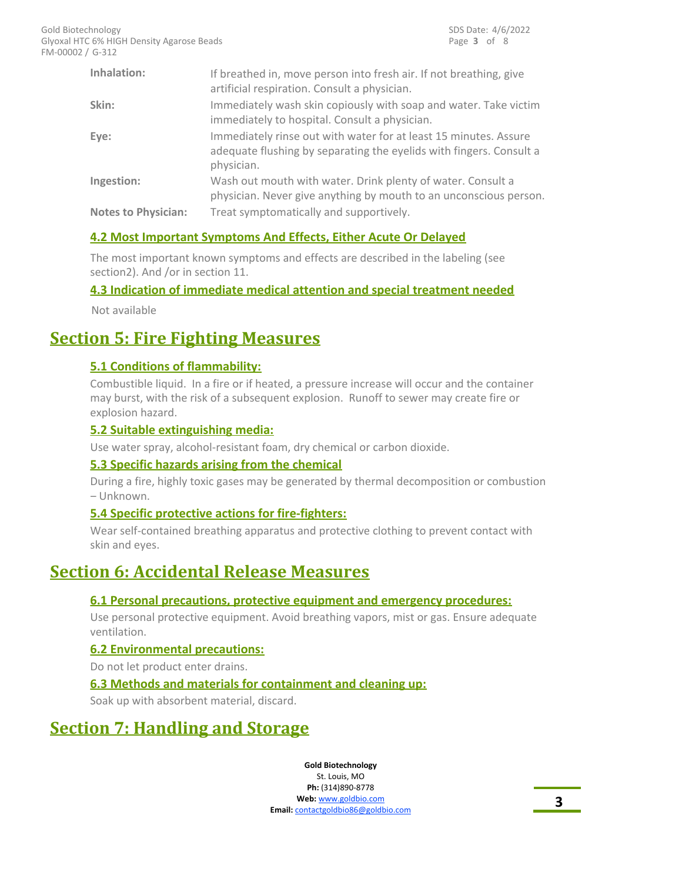| Inhalation:                | If breathed in, move person into fresh air. If not breathing, give<br>artificial respiration. Consult a physician.                                    |
|----------------------------|-------------------------------------------------------------------------------------------------------------------------------------------------------|
| Skin:                      | Immediately wash skin copiously with soap and water. Take victim<br>immediately to hospital. Consult a physician.                                     |
| Eye:                       | Immediately rinse out with water for at least 15 minutes. Assure<br>adequate flushing by separating the eyelids with fingers. Consult a<br>physician. |
| Ingestion:                 | Wash out mouth with water. Drink plenty of water. Consult a<br>physician. Never give anything by mouth to an unconscious person.                      |
| <b>Notes to Physician:</b> | Treat symptomatically and supportively.                                                                                                               |

### **4.2 Most Important Symptoms And Effects, Either Acute Or Delayed**

The most important known symptoms and effects are described in the labeling (see section2). And /or in section 11.

#### **4.3 Indication of immediate medical attention and special treatment needed**

Not available

# **Section 5: Fire Fighting Measures**

### **5.1 Conditions of flammability:**

Combustible liquid. In a fire or if heated, a pressure increase will occur and the container may burst, with the risk of a subsequent explosion. Runoff to sewer may create fire or explosion hazard.

#### **5.2 Suitable extinguishing media:**

Use water spray, alcohol-resistant foam, dry chemical or carbon dioxide.

#### **5.3 Specific hazards arising from the chemical**

During a fire, highly toxic gases may be generated by thermal decomposition or combustion – Unknown.

#### **5.4 Specific protective actions for fire-fighters:**

Wear self-contained breathing apparatus and protective clothing to prevent contact with skin and eyes.

# **Section 6: Accidental Release Measures**

#### **6.1 Personal precautions, protective equipment and emergency procedures:**

Use personal protective equipment. Avoid breathing vapors, mist or gas. Ensure adequate ventilation.

#### **6.2 Environmental precautions:**

Do not let product enter drains.

#### **6.3 Methods and materials for containment and cleaning up:**

Soak up with absorbent material, discard.

# **Section 7: Handling and Storage**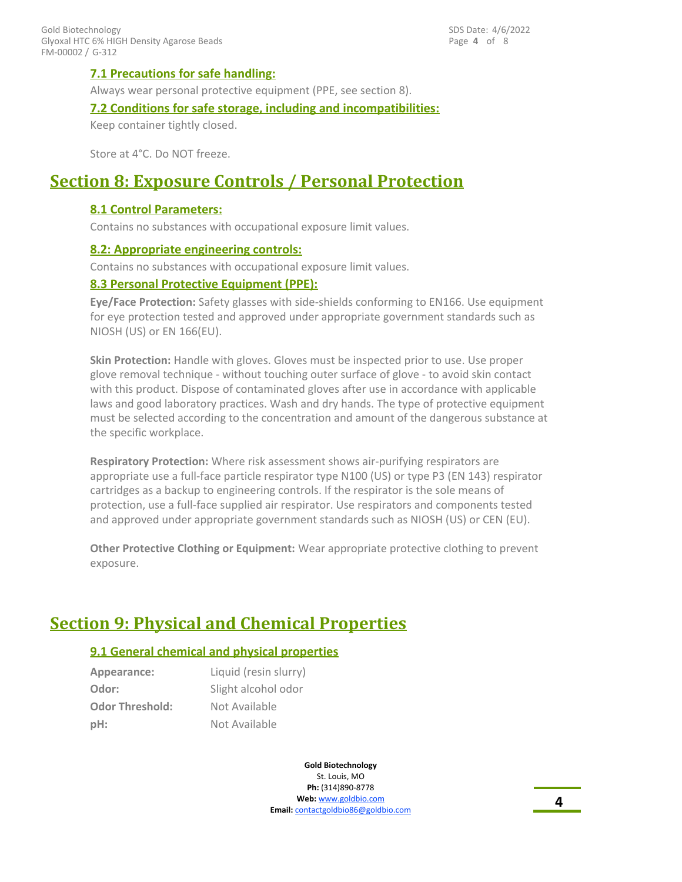#### **7.1 Precautions for safe handling:**

Always wear personal protective equipment (PPE, see section 8).

#### **7.2 Conditions for safe storage, including and incompatibilities:**

Keep container tightly closed.

Store at 4°C. Do NOT freeze.

### **Section 8: Exposure Controls / Personal Protection**

#### **8.1 Control Parameters:**

Contains no substances with occupational exposure limit values.

#### **8.2: Appropriate engineering controls:**

Contains no substances with occupational exposure limit values.

#### **8.3 Personal Protective Equipment (PPE):**

**Eye/Face Protection:** Safety glasses with side-shields conforming to EN166. Use equipment for eye protection tested and approved under appropriate government standards such as NIOSH (US) or EN 166(EU).

**Skin Protection:** Handle with gloves. Gloves must be inspected prior to use. Use proper glove removal technique - without touching outer surface of glove - to avoid skin contact with this product. Dispose of contaminated gloves after use in accordance with applicable laws and good laboratory practices. Wash and dry hands. The type of protective equipment must be selected according to the concentration and amount of the dangerous substance at the specific workplace.

**Respiratory Protection:** Where risk assessment shows air-purifying respirators are appropriate use a full-face particle respirator type N100 (US) or type P3 (EN 143) respirator cartridges as a backup to engineering controls. If the respirator is the sole means of protection, use a full-face supplied air respirator. Use respirators and components tested and approved under appropriate government standards such as NIOSH (US) or CEN (EU).

**Other Protective Clothing or Equipment:** Wear appropriate protective clothing to prevent exposure.

# **Section 9: Physical and Chemical Properties**

#### **9.1 General chemical and physical properties**

| Appearance:            | Liquid (resin slurry) |
|------------------------|-----------------------|
| Odor:                  | Slight alcohol odor   |
| <b>Odor Threshold:</b> | Not Available         |
| pH:                    | Not Available         |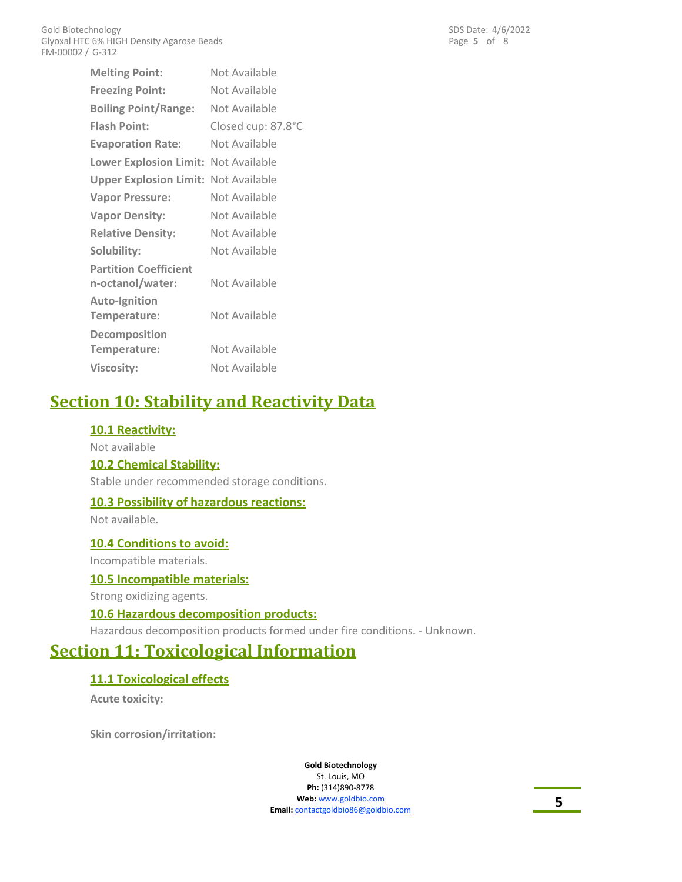**Melting Point:** Not Available **Freezing Point:** Not Available **Flash Point:** Closed cup: 87.8°C **Evaporation Rate:** Not Available **Lower Explosion Limit:** Not Available **Upper Explosion Limit:** Not Available **Vapor Pressure:** Not Available **Vapor Density:** Not Available **Relative Density:** Not Available **Solubility:** Not Available **Partition Coefficient n-octanol/water:** Not Available **Auto-Ignition Temperature:** Not Available **Decomposition** Temperature: Not Available **Viscosity:** Not Available **Boiling Point/Range:** Not Available

# **Section 10: Stability and Reactivity Data**

### **10.1 Reactivity:**

Not available **10.2 Chemical Stability:**

Stable under recommended storage conditions.

#### **10.3 Possibility of hazardous reactions:**

Not available.

**10.4 Conditions to avoid:**

Incompatible materials.

#### **10.5 Incompatible materials:**

Strong oxidizing agents.

#### **10.6 Hazardous decomposition products:**

Hazardous decomposition products formed under fire conditions. - Unknown.

# **Section 11: Toxicological Information**

### **11.1 Toxicological effects**

**Acute toxicity:**

**Skin corrosion/irritation:**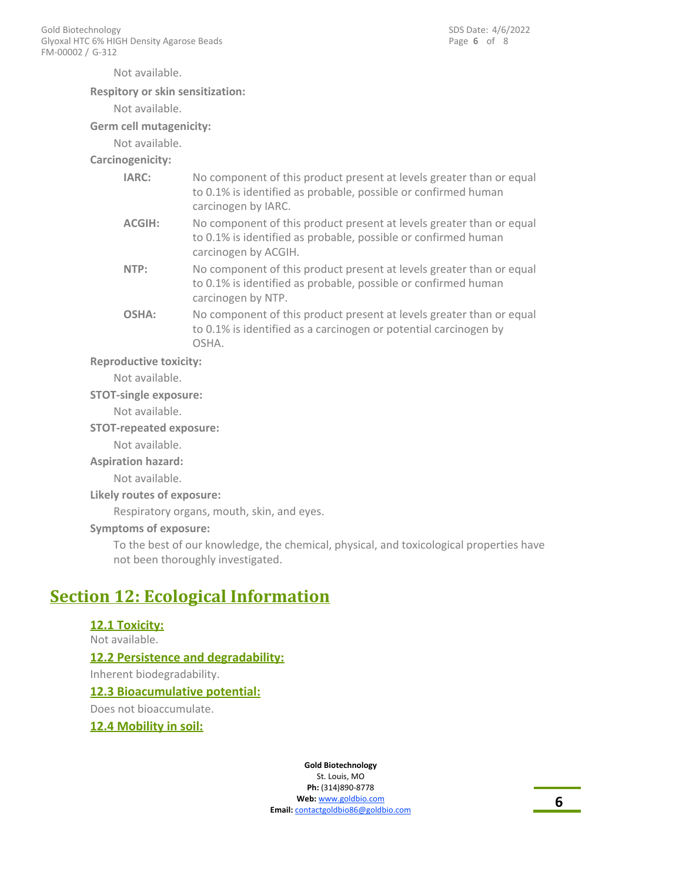Not available.

#### **Respitory or skin sensitization:**

Not available.

#### **Germ cell mutagenicity:**

Not available.

### **Carcinogenicity:**

| IARC:         | No component of this product present at levels greater than or equal<br>to 0.1% is identified as probable, possible or confirmed human<br>carcinogen by IARC.  |
|---------------|----------------------------------------------------------------------------------------------------------------------------------------------------------------|
| <b>ACGIH:</b> | No component of this product present at levels greater than or equal<br>to 0.1% is identified as probable, possible or confirmed human<br>carcinogen by ACGIH. |
| NTP:          | No component of this product present at levels greater than or equal<br>to 0.1% is identified as probable, possible or confirmed human<br>carcinogen by NTP.   |
| OSHA:         | No component of this product present at levels greater than or equal<br>to 0.1% is identified as a carcinogen or potential carcinogen by<br>OSHA.              |

#### **Reproductive toxicity:**

Not available.

#### **STOT-single exposure:**

Not available.

#### **STOT-repeated exposure:**

Not available.

#### **Aspiration hazard:**

Not available.

#### **Likely routes of exposure:**

Respiratory organs, mouth, skin, and eyes.

#### **Symptoms of exposure:**

To the best of our knowledge, the chemical, physical, and toxicological properties have not been thoroughly investigated.

# **Section 12: Ecological Information**

### **12.1 Toxicity:** Not available. **12.2 Persistence and degradability:**

Inherent biodegradability.

#### **12.3 Bioacumulative potential:**

Does not bioaccumulate.

#### **12.4 Mobility in soil:**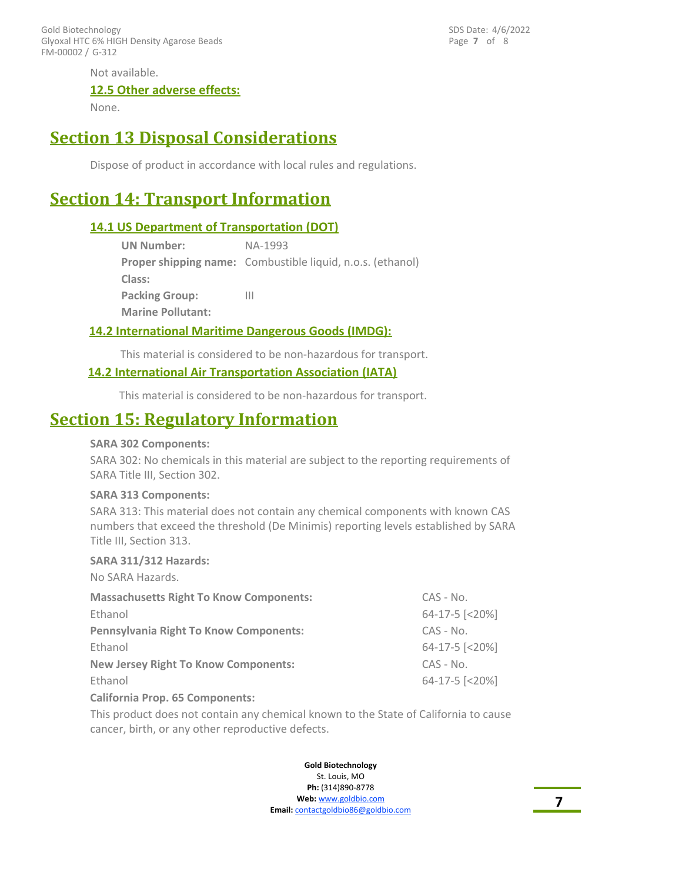FM-00002 / G-312 Gold Biotechnology Glyoxal HTC 6% HIGH Density Agarose Beads Page **7** of 8 SDS Date: 4/6/2022

Not available.

#### **12.5 Other adverse effects:**

None.

# **Section 13 Disposal Considerations**

Dispose of product in accordance with local rules and regulations.

# **Section 14: Transport Information**

#### **14.1 US Department of Transportation (DOT)**

| <b>UN Number:</b>        | NA-1993                                                           |
|--------------------------|-------------------------------------------------------------------|
|                          | <b>Proper shipping name:</b> Combustible liquid, n.o.s. (ethanol) |
| Class:                   |                                                                   |
| <b>Packing Group:</b>    | Ш                                                                 |
| <b>Marine Pollutant:</b> |                                                                   |

#### **14.2 International Maritime Dangerous Goods (IMDG):**

This material is considered to be non-hazardous for transport.

#### **14.2 International Air Transportation Association (IATA)**

This material is considered to be non-hazardous for transport.

### **Section 15: Regulatory Information**

#### **SARA 302 Components:**

SARA 302: No chemicals in this material are subject to the reporting requirements of SARA Title III, Section 302.

#### **SARA 313 Components:**

SARA 313: This material does not contain any chemical components with known CAS numbers that exceed the threshold (De Minimis) reporting levels established by SARA Title III, Section 313.

#### **SARA 311/312 Hazards:**

No SARA Hazards.

| <b>Massachusetts Right To Know Components:</b> | $CAS - No.$                      |
|------------------------------------------------|----------------------------------|
| Ethanol                                        | 64-17-5 [<20%]                   |
| <b>Pennsylvania Right To Know Components:</b>  | $CAS - No.$                      |
| Ethanol                                        | 64-17-5 [<20%]                   |
| <b>New Jersey Right To Know Components:</b>    | $CAS - No.$                      |
| Ethanol                                        | $64-17-5$ $\lfloor 20\% \rfloor$ |
| California Duais, CE Companiontor              |                                  |

#### **California Prop. 65 Components:**

This product does not contain any chemical known to the State of California to cause cancer, birth, or any other reproductive defects.